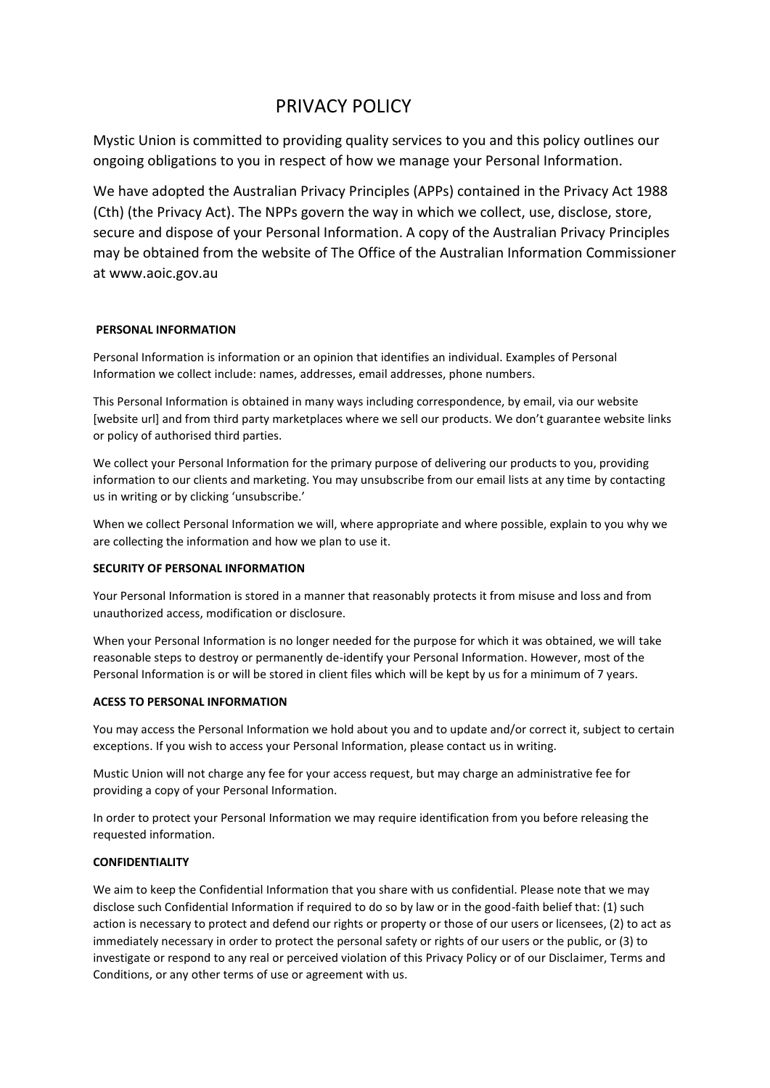# PRIVACY POLICY

Mystic Union is committed to providing quality services to you and this policy outlines our ongoing obligations to you in respect of how we manage your Personal Information.

We have adopted the Australian Privacy Principles (APPs) contained in the Privacy Act 1988 (Cth) (the Privacy Act). The NPPs govern the way in which we collect, use, disclose, store, secure and dispose of your Personal Information. A copy of the Australian Privacy Principles may be obtained from the website of The Office of the Australian Information Commissioner at www.aoic.gov.au

# **PERSONAL INFORMATION**

Personal Information is information or an opinion that identifies an individual. Examples of Personal Information we collect include: names, addresses, email addresses, phone numbers.

This Personal Information is obtained in many ways including correspondence, by email, via our website [website url] and from third party marketplaces where we sell our products. We don't guarantee website links or policy of authorised third parties.

We collect your Personal Information for the primary purpose of delivering our products to you, providing information to our clients and marketing. You may unsubscribe from our email lists at any time by contacting us in writing or by clicking 'unsubscribe.'

When we collect Personal Information we will, where appropriate and where possible, explain to you why we are collecting the information and how we plan to use it.

# **SECURITY OF PERSONAL INFORMATION**

Your Personal Information is stored in a manner that reasonably protects it from misuse and loss and from unauthorized access, modification or disclosure.

When your Personal Information is no longer needed for the purpose for which it was obtained, we will take reasonable steps to destroy or permanently de-identify your Personal Information. However, most of the Personal Information is or will be stored in client files which will be kept by us for a minimum of 7 years.

# **ACESS TO PERSONAL INFORMATION**

You may access the Personal Information we hold about you and to update and/or correct it, subject to certain exceptions. If you wish to access your Personal Information, please contact us in writing.

Mustic Union will not charge any fee for your access request, but may charge an administrative fee for providing a copy of your Personal Information.

In order to protect your Personal Information we may require identification from you before releasing the requested information.

# **CONFIDENTIALITY**

We aim to keep the Confidential Information that you share with us confidential. Please note that we may disclose such Confidential Information if required to do so by law or in the good-faith belief that: (1) such action is necessary to protect and defend our rights or property or those of our users or licensees, (2) to act as immediately necessary in order to protect the personal safety or rights of our users or the public, or (3) to investigate or respond to any real or perceived violation of this Privacy Policy or of our Disclaimer, Terms and Conditions, or any other terms of use or agreement with us.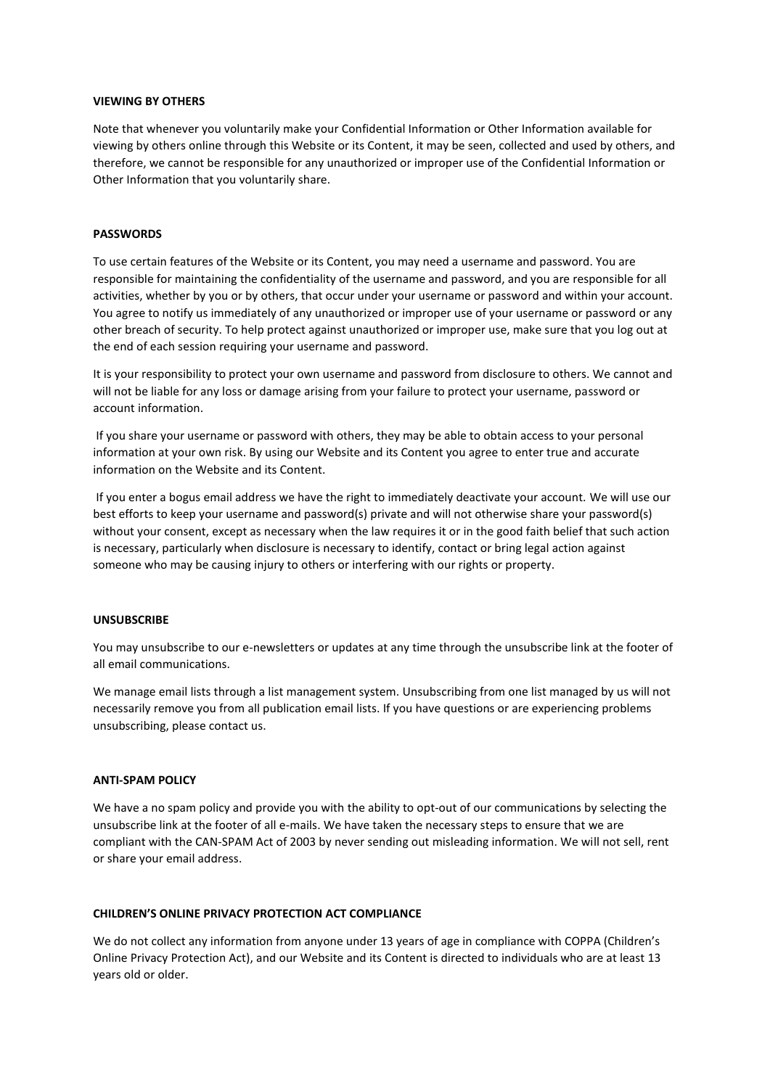#### **VIEWING BY OTHERS**

Note that whenever you voluntarily make your Confidential Information or Other Information available for viewing by others online through this Website or its Content, it may be seen, collected and used by others, and therefore, we cannot be responsible for any unauthorized or improper use of the Confidential Information or Other Information that you voluntarily share.

## **PASSWORDS**

To use certain features of the Website or its Content, you may need a username and password. You are responsible for maintaining the confidentiality of the username and password, and you are responsible for all activities, whether by you or by others, that occur under your username or password and within your account. You agree to notify us immediately of any unauthorized or improper use of your username or password or any other breach of security. To help protect against unauthorized or improper use, make sure that you log out at the end of each session requiring your username and password.

It is your responsibility to protect your own username and password from disclosure to others. We cannot and will not be liable for any loss or damage arising from your failure to protect your username, password or account information.

If you share your username or password with others, they may be able to obtain access to your personal information at your own risk. By using our Website and its Content you agree to enter true and accurate information on the Website and its Content.

If you enter a bogus email address we have the right to immediately deactivate your account. We will use our best efforts to keep your username and password(s) private and will not otherwise share your password(s) without your consent, except as necessary when the law requires it or in the good faith belief that such action is necessary, particularly when disclosure is necessary to identify, contact or bring legal action against someone who may be causing injury to others or interfering with our rights or property.

#### **UNSUBSCRIBE**

You may unsubscribe to our e-newsletters or updates at any time through the unsubscribe link at the footer of all email communications.

We manage email lists through a list management system. Unsubscribing from one list managed by us will not necessarily remove you from all publication email lists. If you have questions or are experiencing problems unsubscribing, please contact us.

#### **ANTI-SPAM POLICY**

We have a no spam policy and provide you with the ability to opt-out of our communications by selecting the unsubscribe link at the footer of all e-mails. We have taken the necessary steps to ensure that we are compliant with the CAN-SPAM Act of 2003 by never sending out misleading information. We will not sell, rent or share your email address.

# **CHILDREN'S ONLINE PRIVACY PROTECTION ACT COMPLIANCE**

We do not collect any information from anyone under 13 years of age in compliance with COPPA (Children's Online Privacy Protection Act), and our Website and its Content is directed to individuals who are at least 13 years old or older.